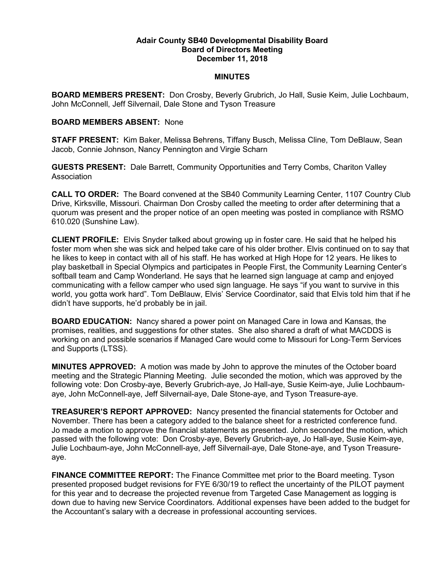## Adair County SB40 Developmental Disability Board Board of Directors Meeting December 11, 2018

## MINUTES

BOARD MEMBERS PRESENT: Don Crosby, Beverly Grubrich, Jo Hall, Susie Keim, Julie Lochbaum, John McConnell, Jeff Silvernail, Dale Stone and Tyson Treasure

## BOARD MEMBERS ABSENT: None

STAFF PRESENT: Kim Baker, Melissa Behrens, Tiffany Busch, Melissa Cline, Tom DeBlauw, Sean Jacob, Connie Johnson, Nancy Pennington and Virgie Scharn

GUESTS PRESENT: Dale Barrett, Community Opportunities and Terry Combs, Chariton Valley Association

CALL TO ORDER: The Board convened at the SB40 Community Learning Center, 1107 Country Club Drive, Kirksville, Missouri. Chairman Don Crosby called the meeting to order after determining that a quorum was present and the proper notice of an open meeting was posted in compliance with RSMO 610.020 (Sunshine Law).

CLIENT PROFILE: Elvis Snyder talked about growing up in foster care. He said that he helped his foster mom when she was sick and helped take care of his older brother. Elvis continued on to say that he likes to keep in contact with all of his staff. He has worked at High Hope for 12 years. He likes to play basketball in Special Olympics and participates in People First, the Community Learning Center's softball team and Camp Wonderland. He says that he learned sign language at camp and enjoyed communicating with a fellow camper who used sign language. He says "if you want to survive in this world, you gotta work hard". Tom DeBlauw, Elvis' Service Coordinator, said that Elvis told him that if he didn't have supports, he'd probably be in jail.

BOARD EDUCATION: Nancy shared a power point on Managed Care in Iowa and Kansas, the promises, realities, and suggestions for other states. She also shared a draft of what MACDDS is working on and possible scenarios if Managed Care would come to Missouri for Long-Term Services and Supports (LTSS).

MINUTES APPROVED: A motion was made by John to approve the minutes of the October board meeting and the Strategic Planning Meeting. Julie seconded the motion, which was approved by the following vote: Don Crosby-aye, Beverly Grubrich-aye, Jo Hall-aye, Susie Keim-aye, Julie Lochbaumaye, John McConnell-aye, Jeff Silvernail-aye, Dale Stone-aye, and Tyson Treasure-aye.

TREASURER'S REPORT APPROVED: Nancy presented the financial statements for October and November. There has been a category added to the balance sheet for a restricted conference fund. Jo made a motion to approve the financial statements as presented. John seconded the motion, which passed with the following vote: Don Crosby-aye, Beverly Grubrich-aye, Jo Hall-aye, Susie Keim-aye, Julie Lochbaum-aye, John McConnell-aye, Jeff Silvernail-aye, Dale Stone-aye, and Tyson Treasureaye.

FINANCE COMMITTEE REPORT: The Finance Committee met prior to the Board meeting. Tyson presented proposed budget revisions for FYE 6/30/19 to reflect the uncertainty of the PILOT payment for this year and to decrease the projected revenue from Targeted Case Management as logging is down due to having new Service Coordinators. Additional expenses have been added to the budget for the Accountant's salary with a decrease in professional accounting services.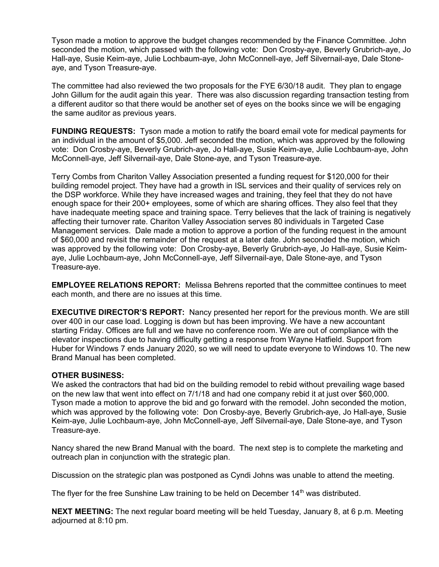Tyson made a motion to approve the budget changes recommended by the Finance Committee. John seconded the motion, which passed with the following vote: Don Crosby-aye, Beverly Grubrich-aye, Jo Hall-aye, Susie Keim-aye, Julie Lochbaum-aye, John McConnell-aye, Jeff Silvernail-aye, Dale Stoneaye, and Tyson Treasure-aye.

The committee had also reviewed the two proposals for the FYE 6/30/18 audit. They plan to engage John Gillum for the audit again this year. There was also discussion regarding transaction testing from a different auditor so that there would be another set of eyes on the books since we will be engaging the same auditor as previous years.

FUNDING REQUESTS: Tyson made a motion to ratify the board email vote for medical payments for an individual in the amount of \$5,000. Jeff seconded the motion, which was approved by the following vote: Don Crosby-aye, Beverly Grubrich-aye, Jo Hall-aye, Susie Keim-aye, Julie Lochbaum-aye, John McConnell-aye, Jeff Silvernail-aye, Dale Stone-aye, and Tyson Treasure-aye.

Terry Combs from Chariton Valley Association presented a funding request for \$120,000 for their building remodel project. They have had a growth in ISL services and their quality of services rely on the DSP workforce. While they have increased wages and training, they feel that they do not have enough space for their 200+ employees, some of which are sharing offices. They also feel that they have inadequate meeting space and training space. Terry believes that the lack of training is negatively affecting their turnover rate. Chariton Valley Association serves 80 individuals in Targeted Case Management services. Dale made a motion to approve a portion of the funding request in the amount of \$60,000 and revisit the remainder of the request at a later date. John seconded the motion, which was approved by the following vote: Don Crosby-aye, Beverly Grubrich-aye, Jo Hall-aye, Susie Keimaye, Julie Lochbaum-aye, John McConnell-aye, Jeff Silvernail-aye, Dale Stone-aye, and Tyson Treasure-aye.

EMPLOYEE RELATIONS REPORT: Melissa Behrens reported that the committee continues to meet each month, and there are no issues at this time.

**EXECUTIVE DIRECTOR'S REPORT:** Nancy presented her report for the previous month. We are still over 400 in our case load. Logging is down but has been improving. We have a new accountant starting Friday. Offices are full and we have no conference room. We are out of compliance with the elevator inspections due to having difficulty getting a response from Wayne Hatfield. Support from Huber for Windows 7 ends January 2020, so we will need to update everyone to Windows 10. The new Brand Manual has been completed.

## OTHER BUSINESS:

We asked the contractors that had bid on the building remodel to rebid without prevailing wage based on the new law that went into effect on 7/1/18 and had one company rebid it at just over \$60,000. Tyson made a motion to approve the bid and go forward with the remodel. John seconded the motion, which was approved by the following vote: Don Crosby-aye, Beverly Grubrich-aye, Jo Hall-aye, Susie Keim-aye, Julie Lochbaum-aye, John McConnell-aye, Jeff Silvernail-aye, Dale Stone-aye, and Tyson Treasure-aye.

Nancy shared the new Brand Manual with the board. The next step is to complete the marketing and outreach plan in conjunction with the strategic plan.

Discussion on the strategic plan was postponed as Cyndi Johns was unable to attend the meeting.

The flyer for the free Sunshine Law training to be held on December  $14<sup>th</sup>$  was distributed.

NEXT MEETING: The next regular board meeting will be held Tuesday, January 8, at 6 p.m. Meeting adjourned at 8:10 pm.